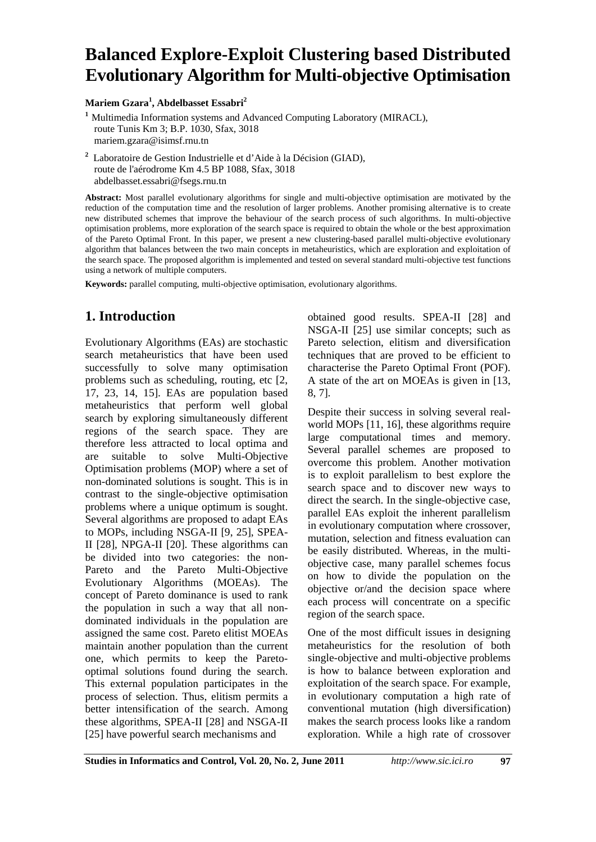# **Balanced Explore-Exploit Clustering based Distributed Evolutionary Algorithm for Multi-objective Optimisation**

**Mariem Gzara<sup>1</sup> , Abdelbasset Essabri2**

**<sup>1</sup>** Multimedia Information systems and Advanced Computing Laboratory (MIRACL), route Tunis Km 3; B.P. 1030, Sfax, 3018 mariem.gzara@isimsf.rnu.tn

**2** Laboratoire de Gestion Industrielle et d'Aide à la Décision (GIAD), route de l'aérodrome Km 4.5 BP 1088, Sfax, 3018 abdelbasset.essabri@fsegs.rnu.tn

**Abstract:** Most parallel evolutionary algorithms for single and multi-objective optimisation are motivated by the reduction of the computation time and the resolution of larger problems. Another promising alternative is to create new distributed schemes that improve the behaviour of the search process of such algorithms. In multi-objective optimisation problems, more exploration of the search space is required to obtain the whole or the best approximation of the Pareto Optimal Front. In this paper, we present a new clustering-based parallel multi-objective evolutionary algorithm that balances between the two main concepts in metaheuristics, which are exploration and exploitation of the search space. The proposed algorithm is implemented and tested on several standard multi-objective test functions using a network of multiple computers.

**Keywords:** parallel computing, multi-objective optimisation, evolutionary algorithms.

# **1. Introduction**

Evolutionary Algorithms (EAs) are stochastic search metaheuristics that have been used successfully to solve many optimisation problems such as scheduling, routing, etc [2, 17, 23, 14, 15]. EAs are population based metaheuristics that perform well global search by exploring simultaneously different regions of the search space. They are therefore less attracted to local optima and are suitable to solve Multi-Objective Optimisation problems (MOP) where a set of non-dominated solutions is sought. This is in contrast to the single-objective optimisation problems where a unique optimum is sought. Several algorithms are proposed to adapt EAs to MOPs, including NSGA-II [9, 25], SPEA-II [28], NPGA-II [20]. These algorithms can be divided into two categories: the non-Pareto and the Pareto Multi-Objective Evolutionary Algorithms (MOEAs). The concept of Pareto dominance is used to rank the population in such a way that all nondominated individuals in the population are assigned the same cost. Pareto elitist MOEAs maintain another population than the current one, which permits to keep the Paretooptimal solutions found during the search. This external population participates in the process of selection. Thus, elitism permits a better intensification of the search. Among these algorithms, SPEA-II [28] and NSGA-II [25] have powerful search mechanisms and

obtained good results. SPEA-II [28] and NSGA-II [25] use similar concepts; such as Pareto selection, elitism and diversification techniques that are proved to be efficient to characterise the Pareto Optimal Front (POF). A state of the art on MOEAs is given in [13, 8, 7].

Despite their success in solving several realworld MOPs [11, 16], these algorithms require large computational times and memory. Several parallel schemes are proposed to overcome this problem. Another motivation is to exploit parallelism to best explore the search space and to discover new ways to direct the search. In the single-objective case, parallel EAs exploit the inherent parallelism in evolutionary computation where crossover, mutation, selection and fitness evaluation can be easily distributed. Whereas, in the multiobjective case, many parallel schemes focus on how to divide the population on the objective or/and the decision space where each process will concentrate on a specific region of the search space.

One of the most difficult issues in designing metaheuristics for the resolution of both single-objective and multi-objective problems is how to balance between exploration and exploitation of the search space. For example, in evolutionary computation a high rate of conventional mutation (high diversification) makes the search process looks like a random exploration. While a high rate of crossover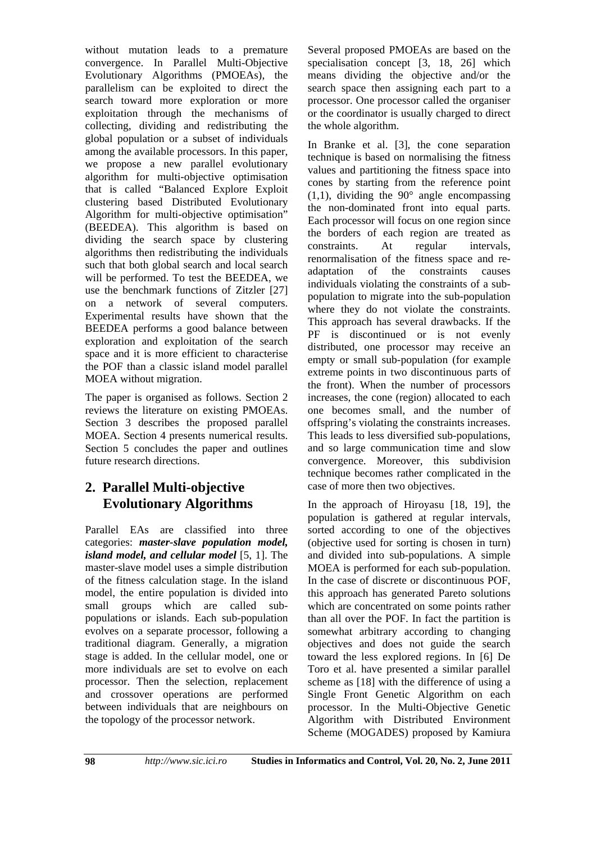without mutation leads to a premature convergence. In Parallel Multi-Objective Evolutionary Algorithms (PMOEAs), the parallelism can be exploited to direct the search toward more exploration or more exploitation through the mechanisms of collecting, dividing and redistributing the global population or a subset of individuals among the available processors. In this paper, we propose a new parallel evolutionary algorithm for multi-objective optimisation that is called "Balanced Explore Exploit clustering based Distributed Evolutionary Algorithm for multi-objective optimisation" (BEEDEA). This algorithm is based on dividing the search space by clustering algorithms then redistributing the individuals such that both global search and local search will be performed. To test the BEEDEA, we use the benchmark functions of Zitzler [27] on a network of several computers. Experimental results have shown that the BEEDEA performs a good balance between exploration and exploitation of the search space and it is more efficient to characterise the POF than a classic island model parallel MOEA without migration.

The paper is organised as follows. Section 2 reviews the literature on existing PMOEAs. Section 3 describes the proposed parallel MOEA. Section 4 presents numerical results. Section 5 concludes the paper and outlines future research directions.

# **2. Parallel Multi-objective Evolutionary Algorithms**

Parallel EAs are classified into three categories: *master-slave population model, island model, and cellular model* [5, 1]. The master-slave model uses a simple distribution of the fitness calculation stage. In the island model, the entire population is divided into small groups which are called subpopulations or islands. Each sub-population evolves on a separate processor, following a traditional diagram. Generally, a migration stage is added. In the cellular model, one or more individuals are set to evolve on each processor. Then the selection, replacement and crossover operations are performed between individuals that are neighbours on the topology of the processor network.

Several proposed PMOEAs are based on the specialisation concept [3, 18, 26] which means dividing the objective and/or the search space then assigning each part to a processor. One processor called the organiser or the coordinator is usually charged to direct the whole algorithm.

In Branke et al. [3], the cone separation technique is based on normalising the fitness values and partitioning the fitness space into cones by starting from the reference point  $(1,1)$ , dividing the 90 $^{\circ}$  angle encompassing the non-dominated front into equal parts. Each processor will focus on one region since the borders of each region are treated as constraints. At regular intervals, renormalisation of the fitness space and readaptation of the constraints causes individuals violating the constraints of a subpopulation to migrate into the sub-population where they do not violate the constraints. This approach has several drawbacks. If the PF is discontinued or is not evenly distributed, one processor may receive an empty or small sub-population (for example extreme points in two discontinuous parts of the front). When the number of processors increases, the cone (region) allocated to each one becomes small, and the number of offspring's violating the constraints increases. This leads to less diversified sub-populations, and so large communication time and slow convergence. Moreover, this subdivision technique becomes rather complicated in the case of more then two objectives.

In the approach of Hiroyasu [18, 19], the population is gathered at regular intervals, sorted according to one of the objectives (objective used for sorting is chosen in turn) and divided into sub-populations. A simple MOEA is performed for each sub-population. In the case of discrete or discontinuous POF, this approach has generated Pareto solutions which are concentrated on some points rather than all over the POF. In fact the partition is somewhat arbitrary according to changing objectives and does not guide the search toward the less explored regions. In [6] De Toro et al. have presented a similar parallel scheme as [18] with the difference of using a Single Front Genetic Algorithm on each processor. In the Multi-Objective Genetic Algorithm with Distributed Environment Scheme (MOGADES) proposed by Kamiura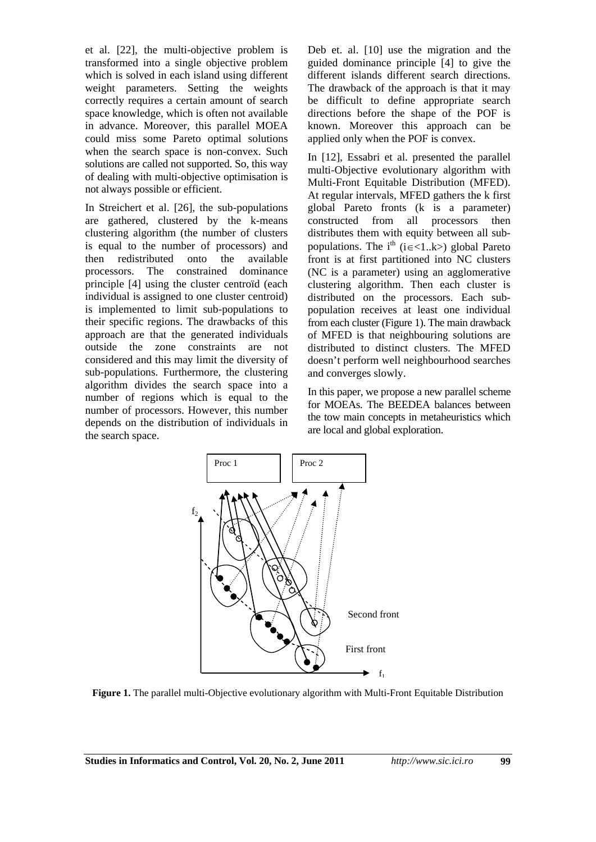et al. [22], the multi-objective problem is transformed into a single objective problem which is solved in each island using different weight parameters. Setting the weights correctly requires a certain amount of search space knowledge, which is often not available in advance. Moreover, this parallel MOEA could miss some Pareto optimal solutions when the search space is non-convex. Such solutions are called not supported. So, this way of dealing with multi-objective optimisation is not always possible or efficient.

In Streichert et al. [26], the sub-populations are gathered, clustered by the k-means clustering algorithm (the number of clusters is equal to the number of processors) and then redistributed onto the available processors. The constrained dominance principle [4] using the cluster centroïd (each individual is assigned to one cluster centroid) is implemented to limit sub-populations to their specific regions. The drawbacks of this approach are that the generated individuals outside the zone constraints are not considered and this may limit the diversity of sub-populations. Furthermore, the clustering algorithm divides the search space into a number of regions which is equal to the number of processors. However, this number depends on the distribution of individuals in the search space.

Deb et. al. [10] use the migration and the guided dominance principle [4] to give the different islands different search directions. The drawback of the approach is that it may be difficult to define appropriate search directions before the shape of the POF is known. Moreover this approach can be applied only when the POF is convex.

In [12], Essabri et al. presented the parallel multi-Objective evolutionary algorithm with Multi-Front Equitable Distribution (MFED). At regular intervals, MFED gathers the k first global Pareto fronts (k is a parameter) constructed from all processors then distributes them with equity between all subpopulations. The i<sup>th</sup> (i  $\epsilon$ <1..k>) global Pareto front is at first partitioned into NC clusters (NC is a parameter) using an agglomerative clustering algorithm. Then each cluster is distributed on the processors. Each subpopulation receives at least one individual from each cluster (Figure 1). The main drawback of MFED is that neighbouring solutions are distributed to distinct clusters. The MFED doesn't perform well neighbourhood searches and converges slowly.

In this paper, we propose a new parallel scheme for MOEAs. The BEEDEA balances between the tow main concepts in metaheuristics which are local and global exploration.



**Figure 1.** The parallel multi-Objective evolutionary algorithm with Multi-Front Equitable Distribution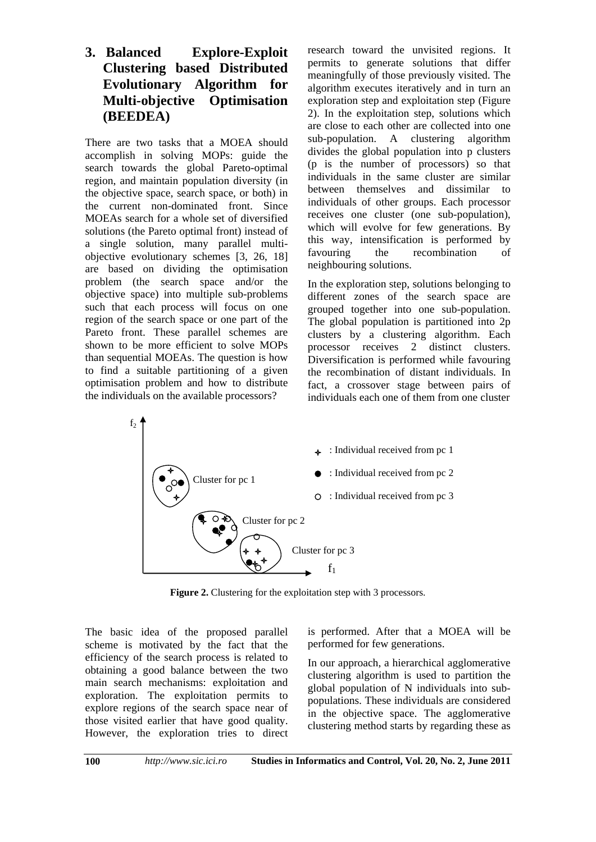## **3. Balanced Explore-Exploit Clustering based Distributed Evolutionary Algorithm for Multi-objective Optimisation (BEEDEA)**

There are two tasks that a MOEA should accomplish in solving MOPs: guide the search towards the global Pareto-optimal region, and maintain population diversity (in the objective space, search space, or both) in the current non-dominated front. Since MOEAs search for a whole set of diversified solutions (the Pareto optimal front) instead of a single solution, many parallel multiobjective evolutionary schemes [3, 26, 18] are based on dividing the optimisation problem (the search space and/or the objective space) into multiple sub-problems such that each process will focus on one region of the search space or one part of the Pareto front. These parallel schemes are shown to be more efficient to solve MOPs than sequential MOEAs. The question is how to find a suitable partitioning of a given optimisation problem and how to distribute the individuals on the available processors?

research toward the unvisited regions. It permits to generate solutions that differ meaningfully of those previously visited. The algorithm executes iteratively and in turn an exploration step and exploitation step (Figure 2). In the exploitation step, solutions which are close to each other are collected into one sub-population. A clustering algorithm divides the global population into p clusters (p is the number of processors) so that individuals in the same cluster are similar between themselves and dissimilar to individuals of other groups. Each processor receives one cluster (one sub-population), which will evolve for few generations. By this way, intensification is performed by favouring the recombination of neighbouring solutions.

In the exploration step, solutions belonging to different zones of the search space are grouped together into one sub-population. The global population is partitioned into 2p clusters by a clustering algorithm. Each processor receives 2 distinct clusters. Diversification is performed while favouring the recombination of distant individuals. In fact, a crossover stage between pairs of individuals each one of them from one cluster



**Figure 2.** Clustering for the exploitation step with 3 processors.

The basic idea of the proposed parallel scheme is motivated by the fact that the efficiency of the search process is related to obtaining a good balance between the two main search mechanisms: exploitation and exploration. The exploitation permits to explore regions of the search space near of those visited earlier that have good quality. However, the exploration tries to direct is performed. After that a MOEA will be performed for few generations.

In our approach, a hierarchical agglomerative clustering algorithm is used to partition the global population of N individuals into subpopulations. These individuals are considered in the objective space. The agglomerative clustering method starts by regarding these as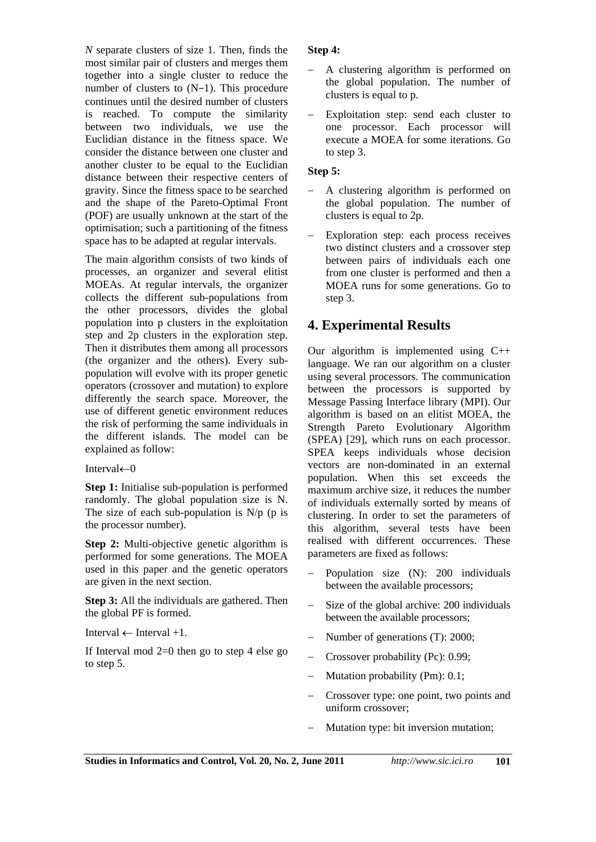*N* separate clusters of size 1. Then, finds the most similar pair of clusters and merges them together into a single cluster to reduce the number of clusters to (N−1). This procedure continues until the desired number of clusters is reached. To compute the similarity between two individuals, we use the Euclidian distance in the fitness space. We consider the distance between one cluster and another cluster to be equal to the Euclidian distance between their respective centers of gravity. Since the fitness space to be searched and the shape of the Pareto-Optimal Front (POF) are usually unknown at the start of the optimisation; such a partitioning of the fitness space has to be adapted at regular intervals.

The main algorithm consists of two kinds of processes, an organizer and several elitist MOEAs. At regular intervals, the organizer collects the different sub-populations from the other processors, divides the global population into p clusters in the exploitation step and 2p clusters in the exploration step. Then it distributes them among all processors (the organizer and the others). Every subpopulation will evolve with its proper genetic operators (crossover and mutation) to explore differently the search space. Moreover, the use of different genetic environment reduces the risk of performing the same individuals in the different islands. The model can be explained as follow:

#### Interval $\leftarrow 0$

**Step 1:** Initialise sub-population is performed randomly. The global population size is N. The size of each sub-population is  $N/p$  (p is the processor number).

**Step 2:** Multi-objective genetic algorithm is performed for some generations. The MOEA used in this paper and the genetic operators are given in the next section.

**Step 3:** All the individuals are gathered. Then the global PF is formed.

Interval  $\leftarrow$  Interval +1

If Interval mod  $2=0$  then go to step 4 else go to step 5.

#### **Step 4:**

- A clustering algorithm is performed on the global population. The number of clusters is equal to p.
- Exploitation step: send each cluster to one processor. Each processor will execute a MOEA for some iterations. Go to step 3.

#### **Step 5:**

- A clustering algorithm is performed on the global population. The number of clusters is equal to 2p.
- Exploration step: each process receives two distinct clusters and a crossover step between pairs of individuals each one from one cluster is performed and then a MOEA runs for some generations. Go to step 3.

## **4. Experimental Results**

Our algorithm is implemented using  $C_{++}$ language. We ran our algorithm on a cluster using several processors. The communication between the processors is supported by Message Passing Interface library (MPI). Our algorithm is based on an elitist MOEA, the Strength Pareto Evolutionary Algorithm (SPEA) [29], which runs on each processor. SPEA keeps individuals whose decision vectors are non-dominated in an external population. When this set exceeds the maximum archive size, it reduces the number of individuals externally sorted by means of clustering. In order to set the parameters of this algorithm, several tests have been realised with different occurrences. These parameters are fixed as follows:

- Population size (N): 200 individuals between the available processors;
- Size of the global archive: 200 individuals between the available processors;
- Number of generations (T): 2000;
- Crossover probability (Pc): 0.99;
- Mutation probability (Pm): 0.1;
- Crossover type: one point, two points and uniform crossover;
- Mutation type: bit inversion mutation;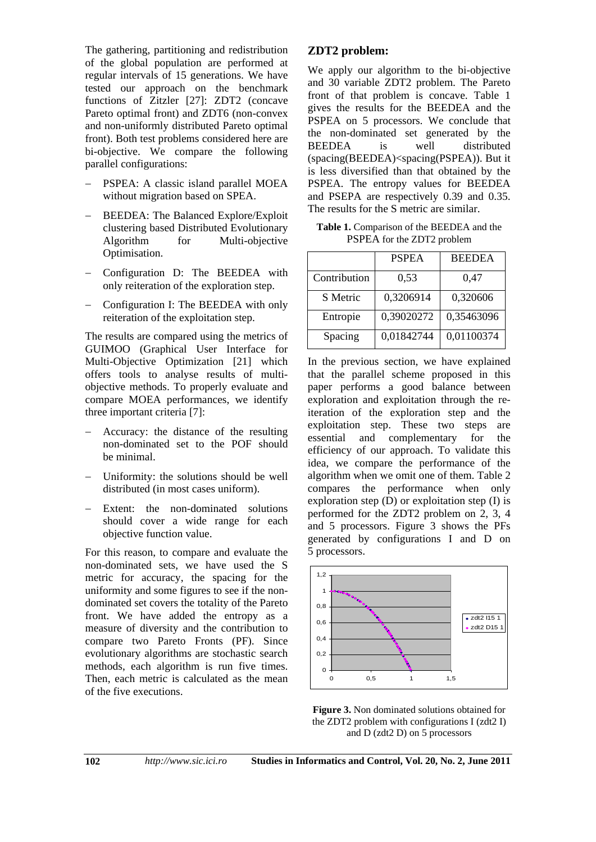The gathering, partitioning and redistribution of the global population are performed at regular intervals of 15 generations. We have tested our approach on the benchmark functions of Zitzler [27]: ZDT2 (concave Pareto optimal front) and ZDT6 (non-convex and non-uniformly distributed Pareto optimal front). Both test problems considered here are bi-objective. We compare the following parallel configurations:

- PSPEA: A classic island parallel MOEA without migration based on SPEA.
- BEEDEA: The Balanced Explore/Exploit clustering based Distributed Evolutionary Algorithm for Multi-objective Optimisation.
- Configuration D: The BEEDEA with only reiteration of the exploration step.
- Configuration I: The BEEDEA with only reiteration of the exploitation step.

The results are compared using the metrics of GUIMOO (Graphical User Interface for Multi-Objective Optimization [21] which offers tools to analyse results of multiobjective methods. To properly evaluate and compare MOEA performances, we identify three important criteria [7]:

- Accuracy: the distance of the resulting non-dominated set to the POF should be minimal.
- Uniformity: the solutions should be well distributed (in most cases uniform).
- Extent: the non-dominated solutions should cover a wide range for each objective function value.

For this reason, to compare and evaluate the non-dominated sets, we have used the S metric for accuracy, the spacing for the uniformity and some figures to see if the nondominated set covers the totality of the Pareto front. We have added the entropy as a measure of diversity and the contribution to compare two Pareto Fronts (PF). Since evolutionary algorithms are stochastic search methods, each algorithm is run five times. Then, each metric is calculated as the mean of the five executions.

### **ZDT2 problem:**

We apply our algorithm to the bi-objective and 30 variable ZDT2 problem. The Pareto front of that problem is concave. Table 1 gives the results for the BEEDEA and the PSPEA on 5 processors. We conclude that the non-dominated set generated by the BEEDEA is well distributed (spacing(BEEDEA)<spacing(PSPEA)). But it is less diversified than that obtained by the PSPEA. The entropy values for BEEDEA and PSEPA are respectively 0.39 and 0.35. The results for the S metric are similar.

**Table 1.** Comparison of the BEEDEA and the PSPEA for the ZDT2 problem

|              | <b>PSPEA</b> | <b>BEEDEA</b> |
|--------------|--------------|---------------|
| Contribution | 0,53         | 0,47          |
| S Metric     | 0,3206914    | 0,320606      |
| Entropie     | 0,39020272   | 0,35463096    |
| Spacing      | 0,01842744   | 0,01100374    |

In the previous section, we have explained that the parallel scheme proposed in this paper performs a good balance between exploration and exploitation through the reiteration of the exploration step and the exploitation step. These two steps are essential and complementary for the efficiency of our approach. To validate this idea, we compare the performance of the algorithm when we omit one of them. Table 2 compares the performance when only exploration step  $(D)$  or exploitation step  $(I)$  is performed for the ZDT2 problem on 2, 3, 4 and 5 processors. Figure 3 shows the PFs generated by configurations I and D on 5 processors.



**Figure 3.** Non dominated solutions obtained for the ZDT2 problem with configurations I ( $zdt2$  I) and D (zdt2 D) on 5 processors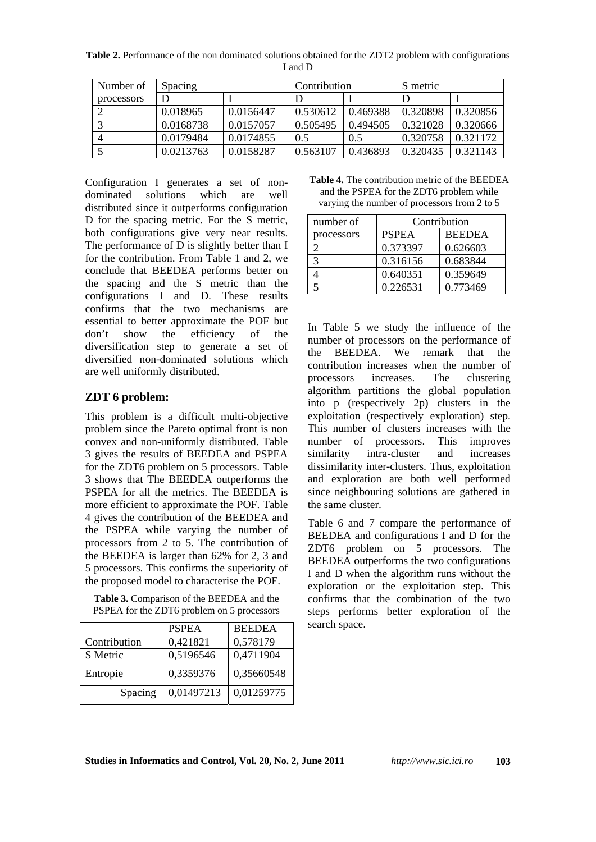**Table 2.** Performance of the non dominated solutions obtained for the ZDT2 problem with configurations I and D

| Number of  | Spacing   |           | Contribution |          | S metric |          |
|------------|-----------|-----------|--------------|----------|----------|----------|
| processors |           |           |              |          |          |          |
|            | 0.018965  | 0.0156447 | 0.530612     | 0.469388 | 0.320898 | 0.320856 |
|            | 0.0168738 | 0.0157057 | 0.505495     | 0.494505 | 0.321028 | 0.320666 |
|            | 0.0179484 | 0.0174855 | 0.5          | 0.5      | 0.320758 | 0.321172 |
|            | 0.0213763 | 0.0158287 | 0.563107     | 0.436893 | 0.320435 | 0.321143 |

Configuration I generates a set of nondominated solutions which are well distributed since it outperforms configuration D for the spacing metric. For the S metric, both configurations give very near results. The performance of D is slightly better than I for the contribution. From Table 1 and 2, we conclude that BEEDEA performs better on the spacing and the S metric than the configurations I and D. These results confirms that the two mechanisms are essential to better approximate the POF but don't show the efficiency of the diversification step to generate a set of diversified non-dominated solutions which are well uniformly distributed.

### **ZDT 6 problem:**

This problem is a difficult multi-objective problem since the Pareto optimal front is non convex and non-uniformly distributed. Table 3 gives the results of BEEDEA and PSPEA for the ZDT6 problem on 5 processors. Table 3 shows that The BEEDEA outperforms the PSPEA for all the metrics. The BEEDEA is more efficient to approximate the POF. Table 4 gives the contribution of the BEEDEA and the PSPEA while varying the number of processors from 2 to 5. The contribution of the BEEDEA is larger than 62% for 2, 3 and 5 processors. This confirms the superiority of the proposed model to characterise the POF.

**Table 3.** Comparison of the BEEDEA and the PSPEA for the ZDT6 problem on 5 processors

|              | <b>PSPEA</b> | <b>BEEDEA</b> |
|--------------|--------------|---------------|
| Contribution | 0,421821     | 0,578179      |
| S Metric     | 0,5196546    | 0,4711904     |
| Entropie     | 0,3359376    | 0,35660548    |
| Spacing      | 0,01497213   | 0,01259775    |

**Table 4.** The contribution metric of the BEEDEA and the PSPEA for the ZDT6 problem while varying the number of processors from 2 to 5

| number of  | Contribution |               |  |
|------------|--------------|---------------|--|
| processors | <b>PSPEA</b> | <b>BEEDEA</b> |  |
|            | 0.373397     | 0.626603      |  |
|            | 0.316156     | 0.683844      |  |
|            | 0.640351     | 0.359649      |  |
|            | 0.226531     | 0.773469      |  |

In Table 5 we study the influence of the number of processors on the performance of the BEEDEA. We remark that the contribution increases when the number of processors increases. The clustering algorithm partitions the global population into p (respectively 2p) clusters in the exploitation (respectively exploration) step. This number of clusters increases with the number of processors. This improves similarity intra-cluster and increases dissimilarity inter-clusters. Thus, exploitation and exploration are both well performed since neighbouring solutions are gathered in the same cluster.

Table 6 and 7 compare the performance of BEEDEA and configurations I and D for the ZDT6 problem on 5 processors. The BEEDEA outperforms the two configurations I and D when the algorithm runs without the exploration or the exploitation step. This confirms that the combination of the two steps performs better exploration of the search space.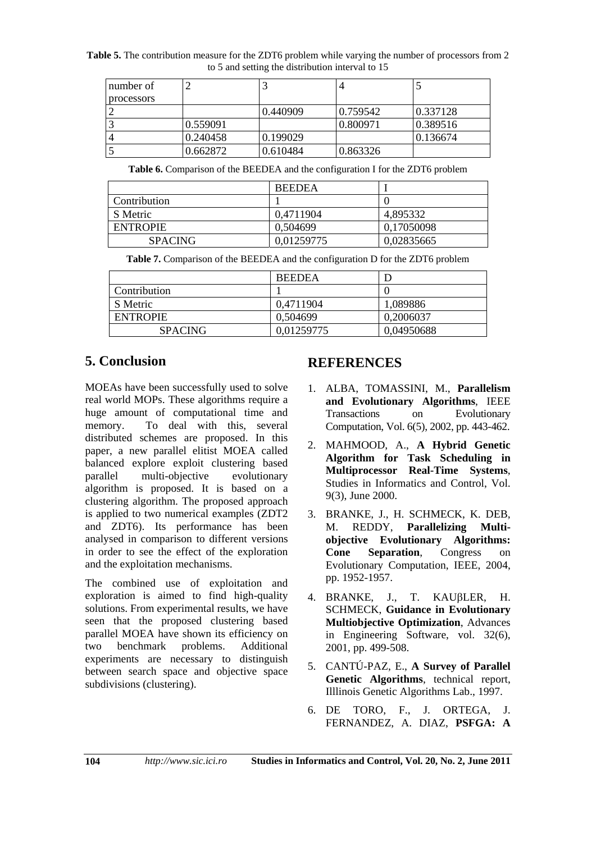**Table 5.** The contribution measure for the ZDT6 problem while varying the number of processors from 2 to 5 and setting the distribution interval to 15

| number of  |          |          |          |          |
|------------|----------|----------|----------|----------|
| processors |          |          |          |          |
|            |          | 0.440909 | 0.759542 | 0.337128 |
|            | 0.559091 |          | 0.800971 | 0.389516 |
|            | 0.240458 | 0.199029 |          | 0.136674 |
|            | 0.662872 | 0.610484 | 0.863326 |          |

**Table 6.** Comparison of the BEEDEA and the configuration I for the ZDT6 problem

|                 | <b>BEEDEA</b> |            |
|-----------------|---------------|------------|
| Contribution    |               |            |
| S Metric        | 0,4711904     | 4,895332   |
| <b>ENTROPIE</b> | 0.504699      | 0,17050098 |
| <b>SPACING</b>  | 0,01259775    | 0.02835665 |

**Table 7.** Comparison of the BEEDEA and the configuration D for the ZDT6 problem

|                 | <b>BEEDEA</b> |            |
|-----------------|---------------|------------|
| Contribution    |               |            |
| S Metric        | 0.4711904     | 1,089886   |
| <b>ENTROPIE</b> | 0,504699      | 0,2006037  |
| <b>SPACING</b>  | 0.01259775    | 0,04950688 |

## **5. Conclusion**

MOEAs have been successfully used to solve real world MOPs. These algorithms require a huge amount of computational time and memory. To deal with this, several distributed schemes are proposed. In this paper, a new parallel elitist MOEA called balanced explore exploit clustering based parallel multi-objective evolutionary algorithm is proposed. It is based on a clustering algorithm. The proposed approach is applied to two numerical examples (ZDT2 and ZDT6). Its performance has been analysed in comparison to different versions in order to see the effect of the exploration and the exploitation mechanisms.

The combined use of exploitation and exploration is aimed to find high-quality solutions. From experimental results, we have seen that the proposed clustering based parallel MOEA have shown its efficiency on<br>two benchmark problems. Additional two benchmark problems. Additional experiments are necessary to distinguish between search space and objective space subdivisions (clustering).

### **REFERENCES**

- 1. ALBA, TOMASSINI, M., **Parallelism and Evolutionary Algorithms**, IEEE Transactions on Evolutionary Computation, Vol. 6(5), 2002, pp. 443-462.
- 2. MAHMOOD, A., **A Hybrid Genetic Algorithm for Task Scheduling in Multiprocessor Real-Time Systems**, Studies in Informatics and Control, Vol. 9(3), June 2000.
- 3. BRANKE, J., H. SCHMECK, K. DEB, M. REDDY, **Parallelizing Multiobjective Evolutionary Algorithms: Cone Separation**, Congress on Evolutionary Computation, IEEE, 2004, pp. 1952-1957.
- 4. BRANKE, J., T. KAUBLER, H. SCHMECK, **Guidance in Evolutionary Multiobjective Optimization**, Advances in Engineering Software, vol. 32(6), 2001, pp. 499-508.
- 5. CANTÚ-PAZ, E., **A Survey of Parallel Genetic Algorithms**, technical report, Illlinois Genetic Algorithms Lab., 1997.
- 6. DE TORO, F., J. ORTEGA, J. FERNANDEZ, A. DIAZ, **PSFGA: A**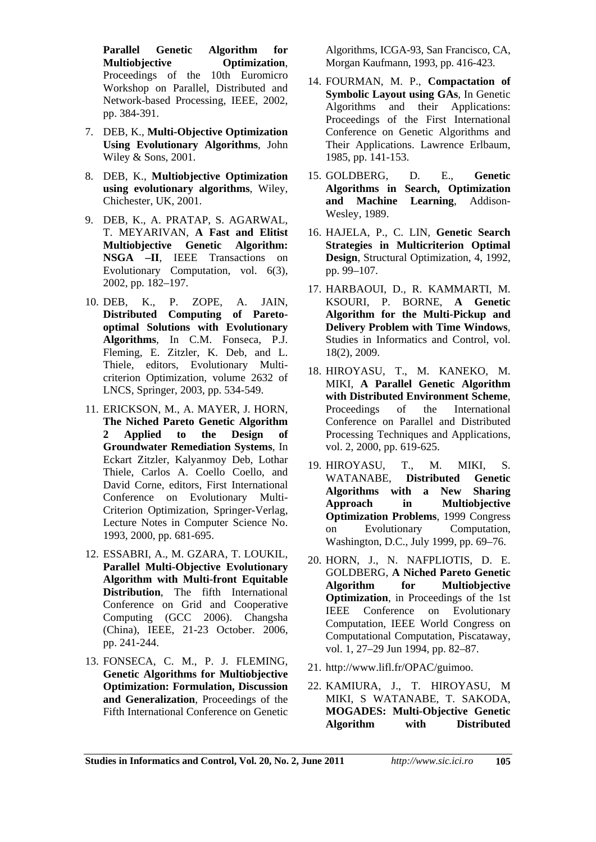**Parallel Genetic Algorithm for Multiobjective Optimization**, Proceedings of the 10th Euromicro Workshop on Parallel, Distributed and Network-based Processing, IEEE, 2002, pp. 384-391.

- 7. DEB, K., **Multi-Objective Optimization Using Evolutionary Algorithms**, John Wiley & Sons, 2001.
- 8. DEB, K., **Multiobjective Optimization using evolutionary algorithms**, Wiley, Chichester, UK, 2001.
- 9. DEB, K., A. PRATAP, S. AGARWAL, T. MEYARIVAN, **A Fast and Elitist Multiobjective Genetic Algorithm: NSGA –II**, IEEE Transactions on Evolutionary Computation, vol. 6(3), 2002, pp. 182–197.
- 10. DEB, K., P. ZOPE, A. JAIN, **Distributed Computing of Paretooptimal Solutions with Evolutionary Algorithms**, In C.M. Fonseca, P.J. Fleming, E. Zitzler, K. Deb, and L. Thiele, editors, Evolutionary Multicriterion Optimization, volume 2632 of LNCS, Springer, 2003, pp. 534-549.
- 11. ERICKSON, M., A. MAYER, J. HORN, **The Niched Pareto Genetic Algorithm 2 Applied to the Design of Groundwater Remediation Systems**, In Eckart Zitzler, Kalyanmoy Deb, Lothar Thiele, Carlos A. Coello Coello, and David Corne, editors, First International Conference on Evolutionary Multi-Criterion Optimization, Springer-Verlag, Lecture Notes in Computer Science No. 1993, 2000, pp. 681-695.
- 12. ESSABRI, A., M. GZARA, T. LOUKIL, **Parallel Multi-Objective Evolutionary Algorithm with Multi-front Equitable Distribution**, The fifth International Conference on Grid and Cooperative Computing (GCC 2006). Changsha (China), IEEE, 21-23 October. 2006, pp. 241-244.
- 13. FONSECA, C. M., P. J. FLEMING, **Genetic Algorithms for Multiobjective Optimization: Formulation, Discussion and Generalization**, Proceedings of the Fifth International Conference on Genetic

Algorithms, ICGA-93, San Francisco, CA, Morgan Kaufmann, 1993, pp. 416-423.

- 14. FOURMAN, M. P., **Compactation of Symbolic Layout using GAs**, In Genetic Algorithms and their Applications: Proceedings of the First International Conference on Genetic Algorithms and Their Applications. Lawrence Erlbaum, 1985, pp. 141-153.
- 15. GOLDBERG, D. E., **Genetic Algorithms in Search, Optimization and Machine Learning**, Addison-Wesley, 1989.
- 16. HAJELA, P., C. LIN, **Genetic Search Strategies in Multicriterion Optimal Design**, Structural Optimization, 4, 1992, pp. 99–107.
- 17. HARBAOUI, D., R. KAMMARTI, M. KSOURI, P. BORNE, **A Genetic Algorithm for the Multi-Pickup and Delivery Problem with Time Windows**, Studies in Informatics and Control, vol. 18(2), 2009.
- 18. HIROYASU, T., M. KANEKO, M. MIKI, **A Parallel Genetic Algorithm with Distributed Environment Scheme**, Proceedings of the International Conference on Parallel and Distributed Processing Techniques and Applications, vol. 2, 2000, pp. 619-625.
- 19. HIROYASU, T., M. MIKI, S. WATANABE, **Distributed Genetic Algorithms with a New Sharing Approach in Multiobjective Optimization Problems**, 1999 Congress on Evolutionary Computation, Washington, D.C., July 1999, pp. 69–76.
- 20. HORN, J., N. NAFPLIOTIS, D. E. GOLDBERG, **A Niched Pareto Genetic Algorithm for Multiobjective Optimization**, in Proceedings of the 1st IEEE Conference on Evolutionary Computation, IEEE World Congress on Computational Computation, Piscataway, vol. 1, 27–29 Jun 1994, pp. 82–87.
- 21. http://www.lifl.fr/OPAC/guimoo.
- 22. KAMIURA, J., T. HIROYASU, M MIKI, S WATANABE, T. SAKODA, **MOGADES: Multi-Objective Genetic Algorithm with Distributed**